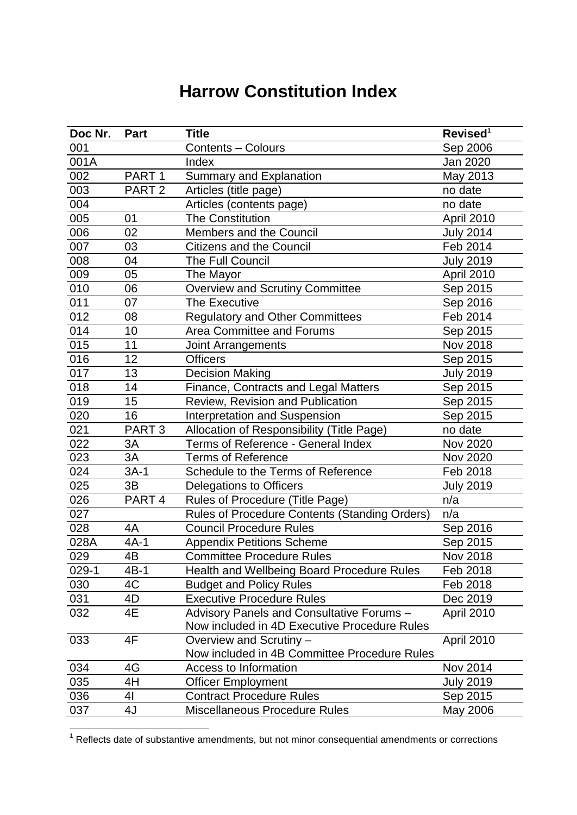## **Harrow Constitution Index**

| Doc Nr. | Part              | <b>Title</b>                                  | Revised <sup>1</sup> |
|---------|-------------------|-----------------------------------------------|----------------------|
| 001     |                   | <b>Contents - Colours</b>                     | Sep 2006             |
| 001A    |                   | Index                                         | Jan 2020             |
| 002     | PART <sub>1</sub> | <b>Summary and Explanation</b>                | May 2013             |
| 003     | PART <sub>2</sub> | Articles (title page)                         | no date              |
| 004     |                   | Articles (contents page)                      | no date              |
| 005     | 01                | <b>The Constitution</b>                       | April 2010           |
| 006     | 02                | Members and the Council                       | <b>July 2014</b>     |
| 007     | 03                | <b>Citizens and the Council</b>               | Feb 2014             |
| 008     | 04                | The Full Council                              | <b>July 2019</b>     |
| 009     | 05                | The Mayor                                     | April 2010           |
| 010     | 06                | <b>Overview and Scrutiny Committee</b>        | Sep 2015             |
| 011     | 07                | The Executive                                 | Sep 2016             |
| 012     | 08                | <b>Regulatory and Other Committees</b>        | Feb 2014             |
| 014     | 10                | Area Committee and Forums                     | Sep 2015             |
| 015     | 11                | <b>Joint Arrangements</b>                     | <b>Nov 2018</b>      |
| 016     | 12                | <b>Officers</b>                               | Sep 2015             |
| 017     | 13                | <b>Decision Making</b>                        | <b>July 2019</b>     |
| 018     | 14                | Finance, Contracts and Legal Matters          | Sep 2015             |
| 019     | 15                | Review, Revision and Publication              | Sep 2015             |
| 020     | 16                | <b>Interpretation and Suspension</b>          | Sep 2015             |
| 021     | PART <sub>3</sub> | Allocation of Responsibility (Title Page)     | no date              |
| 022     | 3A                | Terms of Reference - General Index            | Nov 2020             |
| 023     | 3A                | <b>Terms of Reference</b>                     | Nov 2020             |
| 024     | $3A-1$            | Schedule to the Terms of Reference            | Feb 2018             |
| 025     | 3B                | Delegations to Officers                       | <b>July 2019</b>     |
| 026     | PART <sub>4</sub> | Rules of Procedure (Title Page)               | n/a                  |
| 027     |                   | Rules of Procedure Contents (Standing Orders) | n/a                  |
| 028     | 4A                | <b>Council Procedure Rules</b>                | Sep 2016             |
| 028A    | $4A-1$            | <b>Appendix Petitions Scheme</b>              | Sep 2015             |
| 029     | 4B                | <b>Committee Procedure Rules</b>              | Nov 2018             |
| $029-1$ | 4B-1              | Health and Wellbeing Board Procedure Rules    | Feb 2018             |
| 030     | 4C                | <b>Budget and Policy Rules</b>                | Feb 2018             |
| 031     | 4D                | <b>Executive Procedure Rules</b>              | Dec 2019             |
| 032     | 4E                | Advisory Panels and Consultative Forums -     | April 2010           |
|         |                   | Now included in 4D Executive Procedure Rules  |                      |
| 033     | 4F                | Overview and Scrutiny -                       | April 2010           |
|         |                   | Now included in 4B Committee Procedure Rules  |                      |
| 034     | 4G                | <b>Access to Information</b>                  | Nov 2014             |
| 035     | 4H                | <b>Officer Employment</b>                     | <b>July 2019</b>     |
| 036     | 41                | <b>Contract Procedure Rules</b>               | Sep 2015             |
| 037     | 4J                | <b>Miscellaneous Procedure Rules</b>          | May 2006             |

Reflects date of substantive amendments, but not minor consequential amendments or corrections